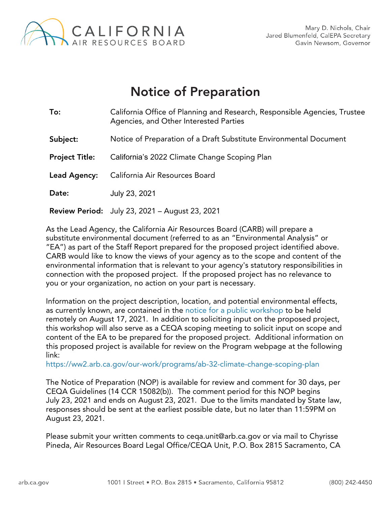

## Notice of Preparation

| To:                   | California Office of Planning and Research, Responsible Agencies, Trustee<br>Agencies, and Other Interested Parties |  |
|-----------------------|---------------------------------------------------------------------------------------------------------------------|--|
| Subject:              | Notice of Preparation of a Draft Substitute Environmental Document                                                  |  |
| <b>Project Title:</b> | California's 2022 Climate Change Scoping Plan                                                                       |  |
| Lead Agency:          | California Air Resources Board                                                                                      |  |
| Date:                 | July 23, 2021                                                                                                       |  |
|                       | <b>Review Period:</b> July 23, 2021 - August 23, 2021                                                               |  |

As the Lead Agency, the California Air Resources Board (CARB) will prepare a substitute environmental document (referred to as an "Environmental Analysis" or "EA") as part of the Staff Report prepared for the proposed project identified above. CARB would like to know the views of your agency as to the scope and content of the environmental information that is relevant to your agency's statutory responsibilities in connection with the proposed project. If the proposed project has no relevance to you or your organization, no action on your part is necessary.

Information on the project description, location, and potential environmental effects, as currently known, are contained in the [notice for a public workshop](https://gcc02.safelinks.protection.outlook.com/?url=https%3A%2F%2Fww2.arb.ca.gov%2Fevents%2Fpublic-workshop-2022-scoping-plan-update-scenario-concepts-technical-workshop&data=04%7C01%7CChyrisse.Pineda%40arb.ca.gov%7C80339fb2ec9d46e016ea08d94e11fa41%7C9de5aaee778840b1a438c0ccc98c87cc%7C0%7C0%7C637626661400917843%7CUnknown%7CTWFpbGZsb3d8eyJWIjoiMC4wLjAwMDAiLCJQIjoiV2luMzIiLCJBTiI6Ik1haWwiLCJXVCI6Mn0%3D%7C1000&sdata=%2FundYA8TogXNxWBpVeGaL%2Fi2x1iAy4Ce6Zveo4njJN4%3D&reserved=0) to be held remotely on August 17, 2021. In addition to soliciting input on the proposed project, this workshop will also serve as a CEQA scoping meeting to solicit input on scope and content of the EA to be prepared for the proposed project. Additional information on this proposed project is available for review on the Program webpage at the following link:

<https://ww2.arb.ca.gov/our-work/programs/ab-32-climate-change-scoping-plan>

The Notice of Preparation (NOP) is available for review and comment for 30 days, per CEQA Guidelines (14 CCR 15082(b)). The comment period for this NOP begins July 23, 2021 and ends on August 23, 2021. Due to the limits mandated by State law, responses should be sent at the earliest possible date, but no later than 11:59PM on August 23, 2021.

Please submit your written comments to ceqa.unit@arb.ca.gov or via mail to Chyrisse Pineda, Air Resources Board Legal Office/CEQA Unit, P.O. Box 2815 Sacramento, CA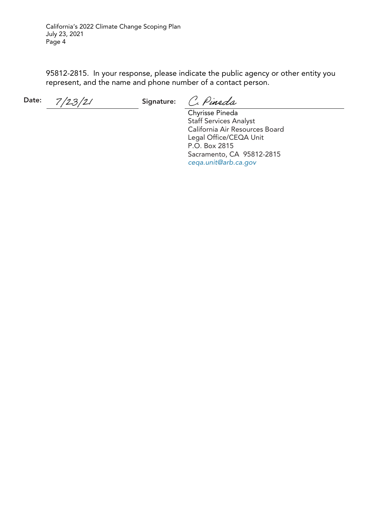California's 2022 Climate Change Scoping Plan July 23, 2021 Page 4

95812-2815. In your response, please indicate the public agency or other entity you represent, and the name and phone number of a contact person.

Date:  $7/23/21$  Signature:

C. Pineda

Chyrisse Pineda Staff Services Analyst California Air Resources Board Legal Office/CEQA Unit P.O. Box 2815 Sacramento, CA 95812-2815 *[ceqa.unit@arb.ca.gov](mailto:CEQA.UNIT@ARB.CA.GOV)*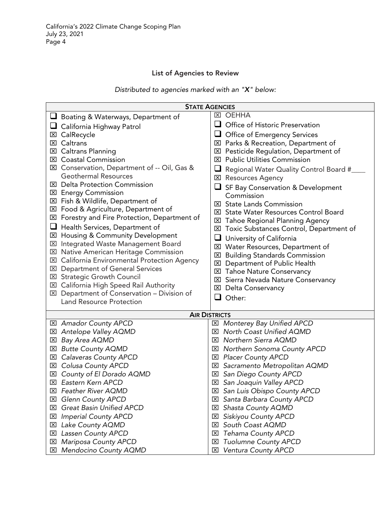## List of Agencies to Review

*Distributed to agencies marked with an "X" below:*

| <b>STATE AGENCIES</b>                                     |                                                    |  |  |
|-----------------------------------------------------------|----------------------------------------------------|--|--|
| Boating & Waterways, Department of                        | <b>区 OEHHA</b>                                     |  |  |
| $\Box$ California Highway Patrol                          | Office of Historic Preservation<br>⊔               |  |  |
| CalRecycle<br>⊠                                           | Office of Emergency Services                       |  |  |
| <b>⊠</b> Caltrans                                         | ⊠ Parks & Recreation, Department of                |  |  |
| <b>Caltrans Planning</b><br>⊠                             | <b>EX</b> Pesticide Regulation, Department of      |  |  |
| <b>Coastal Commission</b><br>×                            | <b>Public Utilities Commission</b><br>$\mathsf{X}$ |  |  |
| Conservation, Department of -- Oil, Gas &<br>$\mathsf{X}$ | ⊔<br>Regional Water Quality Control Board #_       |  |  |
| <b>Geothermal Resources</b>                               | <b>区 Resources Agency</b>                          |  |  |
| <b>Delta Protection Commission</b><br>Ι×Ι                 | SF Bay Conservation & Development                  |  |  |
| <b>区 Energy Commission</b>                                | Commission                                         |  |  |
| <b>⊠</b> Fish & Wildlife, Department of                   | <b>⊠</b> State Lands Commission                    |  |  |
| ⊠ Food & Agriculture, Department of                       | <b>EXI</b> State Water Resources Control Board     |  |  |
| Forestry and Fire Protection, Department of<br>⊠          | <b>EXI</b> Tahoe Regional Planning Agency          |  |  |
| Health Services, Department of                            | ⊠ Toxic Substances Control, Department of          |  |  |
| Housing & Community Development<br>⊠                      | University of California<br>⊔                      |  |  |
| Integrated Waste Management Board<br>$\boxtimes$          | <b>⊠</b> Water Resources, Department of            |  |  |
| Native American Heritage Commission<br>図                  | <b>E</b> Building Standards Commission             |  |  |
| California Environmental Protection Agency<br>⊠           | <b>EXI</b> Department of Public Health             |  |  |
| <b>EX</b> Department of General Services                  | <b>EXI</b> Tahoe Nature Conservancy                |  |  |
| <b>EXI</b> Strategic Growth Council                       | <b>EXI</b> Sierra Nevada Nature Conservancy        |  |  |
| ⊠ California High Speed Rail Authority                    | <b>⊠</b> Delta Conservancy                         |  |  |
| ⊠ Department of Conservation - Division of                | ப<br>Other:                                        |  |  |
| <b>Land Resource Protection</b>                           |                                                    |  |  |
| <b>AIR DISTRICTS</b>                                      |                                                    |  |  |
| ⊠ Amador County APCD                                      | ⊠ Monterey Bay Unified APCD                        |  |  |
| ⊠ Antelope Valley AQMD                                    | North Coast Unified AQMD<br>$\vert x \vert$        |  |  |
| Bay Area AQMD<br>図                                        | Northern Sierra AQMD<br>$\mathbf{X}$               |  |  |
| <b>Butte County AQMD</b><br>$\boxtimes$                   | Northern Sonoma County APCD<br>⊠                   |  |  |
| <b>Calaveras County APCD</b><br>⊠                         | <b>Placer County APCD</b><br>区                     |  |  |
| Colusa County APCD<br>⊠                                   | Sacramento Metropolitan AQMD<br>⊠                  |  |  |
| County of El Dorado AQMD<br>⊠                             | San Diego County APCD<br>$\mathbf{x}$              |  |  |
| ⊠ Eastern Kern APCD                                       | ⊠ San Joaquin Valley APCD                          |  |  |
| ⊠ Feather River AQMD                                      | ⊠ San Luis Obispo County APCD                      |  |  |
| <b>Glenn County APCD</b><br>⊠                             | Santa Barbara County APCD<br>⊠                     |  |  |
| Great Basin Unified APCD<br>⊠                             | Shasta County AQMD<br>⊠                            |  |  |
| <b>Imperial County APCD</b><br>⊠                          | Siskiyou County APCD<br>⊠                          |  |  |
| Lake County AQMD<br>⊠                                     | South Coast AQMD<br>⊠                              |  |  |
| Lassen County APCD<br>⊠                                   | <b>Tehama County APCD</b><br>⊠                     |  |  |
| Mariposa County APCD<br>⊠                                 | <b>Tuolumne County APCD</b><br>⊠                   |  |  |
| Mendocino County AQMD<br>⊠                                | <b>Ventura County APCD</b><br>図                    |  |  |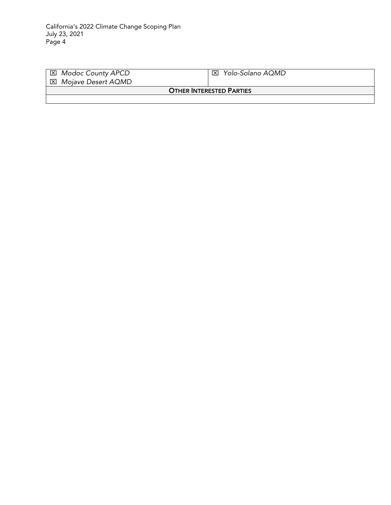| ⊠ Modoc County APCD             | Yolo-Solano AQMD<br>⊠⊦ |  |  |
|---------------------------------|------------------------|--|--|
| ⊠ Mojave Desert AQMD            |                        |  |  |
| <b>OTHER INTERESTED PARTIES</b> |                        |  |  |
|                                 |                        |  |  |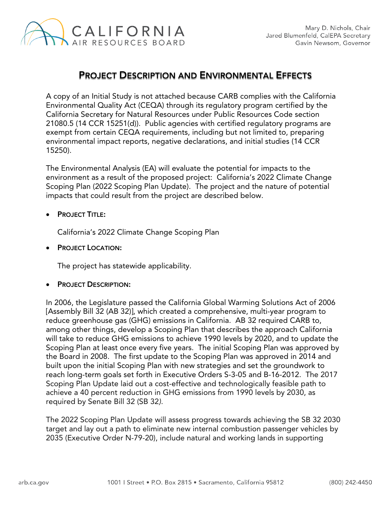

## PROJECT DESCRIPTION AND ENVIRONMENTAL EFFECTS

A copy of an Initial Study is not attached because CARB complies with the California Environmental Quality Act (CEQA) through its regulatory program certified by the California Secretary for Natural Resources under Public Resources Code section 21080.5 (14 CCR 15251(d)). Public agencies with certified regulatory programs are exempt from certain CEQA requirements, including but not limited to, preparing environmental impact reports, negative declarations, and initial studies (14 CCR 15250).

The Environmental Analysis (EA) will evaluate the potential for impacts to the environment as a result of the proposed project: California's 2022 Climate Change Scoping Plan (2022 Scoping Plan Update). The project and the nature of potential impacts that could result from the project are described below.

**PROJECT TITLE:** 

California's 2022 Climate Change Scoping Plan

• PROJECT LOCATION:

The project has statewide applicability.

**PROJECT DESCRIPTION:** 

In 2006, the Legislature passed the California Global Warming Solutions Act of 2006 [Assembly Bill 32 (AB 32)], which created a comprehensive, multi-year program to reduce greenhouse gas (GHG) emissions in California. AB 32 required CARB to, among other things, develop a Scoping Plan that describes the approach California will take to reduce GHG emissions to achieve 1990 levels by 2020, and to update the Scoping Plan at least once every five years. The initial Scoping Plan was approved by the Board in 2008. The first update to the Scoping Plan was approved in 2014 and built upon the initial Scoping Plan with new strategies and set the groundwork to reach long-term goals set forth in Executive Orders S-3-05 and B-16-2012. The 2017 Scoping Plan Update laid out a cost-effective and technologically feasible path to achieve a 40 percent reduction in GHG emissions from 1990 levels by 2030, as required by Senate Bill 32 (SB 32*).*

The 2022 Scoping Plan Update will assess progress towards achieving the SB 32 2030 target and lay out a path to eliminate new internal combustion passenger vehicles by 2035 (Executive Order N-79-20), include natural and working lands in supporting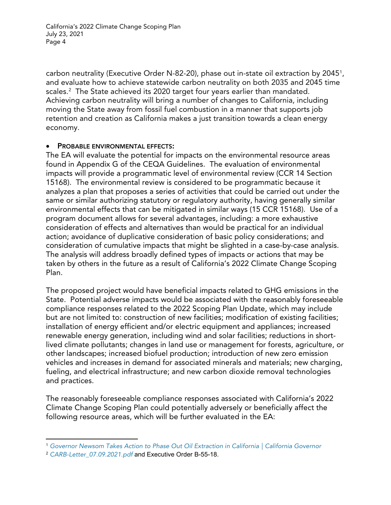California's 2022 Climate Change Scoping Plan July 23, 2021 Page 4

carbon neutrality (Executive Order N-82-20), phase out in-state oil extraction by 2045<sup>[1](#page-5-0)</sup>, and evaluate how to achieve statewide carbon neutrality on both 2035 and 2045 time scales. [2](#page-5-1) The State achieved its 2020 target four years earlier than mandated. Achieving carbon neutrality will bring a number of changes to California, including moving the State away from fossil fuel combustion in a manner that supports job retention and creation as California makes a just transition towards a clean energy economy.

## PROBABLE ENVIRONMENTAL EFFECTS:

The EA will evaluate the potential for impacts on the environmental resource areas found in Appendix G of the CEQA Guidelines*.* The evaluation of environmental impacts will provide a programmatic level of environmental review (CCR 14 Section 15168). The environmental review is considered to be programmatic because it analyzes a plan that proposes a series of activities that could be carried out under the same or similar authorizing statutory or regulatory authority, having generally similar environmental effects that can be mitigated in similar ways (15 CCR 15168). Use of a program document allows for several advantages, including: a more exhaustive consideration of effects and alternatives than would be practical for an individual action; avoidance of duplicative consideration of basic policy considerations; and consideration of cumulative impacts that might be slighted in a case-by-case analysis. The analysis will address broadly defined types of impacts or actions that may be taken by others in the future as a result of California's 2022 Climate Change Scoping Plan.

The proposed project would have beneficial impacts related to GHG emissions in the State. Potential adverse impacts would be associated with the reasonably foreseeable compliance responses related to the 2022 Scoping Plan Update, which may include but are not limited to: construction of new facilities; modification of existing facilities; installation of energy efficient and/or electric equipment and appliances; increased renewable energy generation, including wind and solar facilities; reductions in shortlived climate pollutants; changes in land use or management for forests, agriculture, or other landscapes; increased biofuel production; introduction of new zero emission vehicles and increases in demand for associated minerals and materials; new charging, fueling, and electrical infrastructure; and new carbon dioxide removal technologies and practices.

The reasonably foreseeable compliance responses associated with California's 2022 Climate Change Scoping Plan could potentially adversely or beneficially affect the following resource areas, which will be further evaluated in the EA:

<span id="page-5-0"></span><sup>1</sup> *[Governor Newsom Takes Action to Phase Out Oil Extraction in California | California Governor](https://www.gov.ca.gov/2021/04/23/governor-newsom-takes-action-to-phase-out-oil-extraction-in-california/)*

<span id="page-5-1"></span><sup>2</sup> *[CARB-Letter\\_07.09.2021.pdf](https://www.gov.ca.gov/wp-content/uploads/2021/07/CARB-Letter_07.09.2021.pdf)* and Executive Order B-55-18.